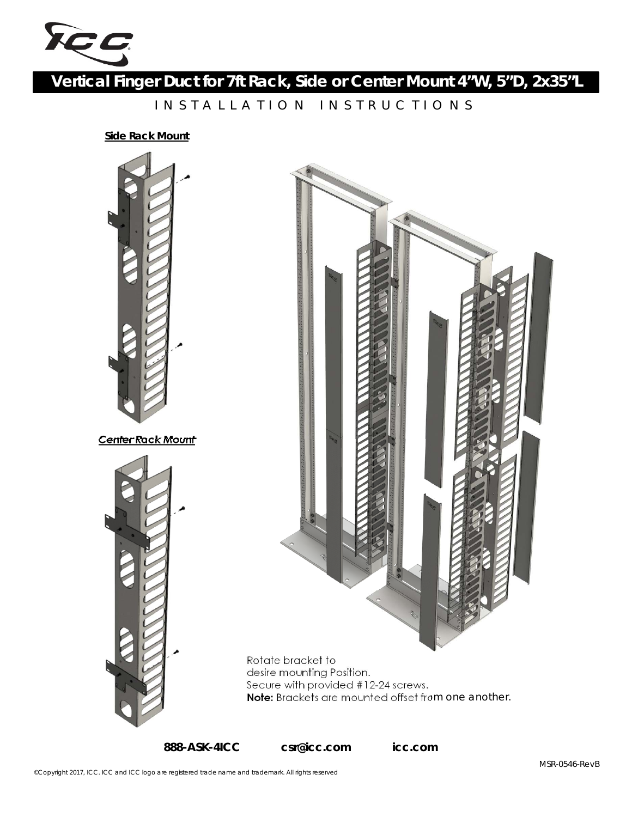

**Vertical Finger Duct for 7ft Rack, Side or Center Mount 4"W, 5"D, 2x35"L**

INSTALLATION INSTRUCTIONS

**Side Rack Mount**





**888-ASK-4ICC csr@icc.com icc.com**